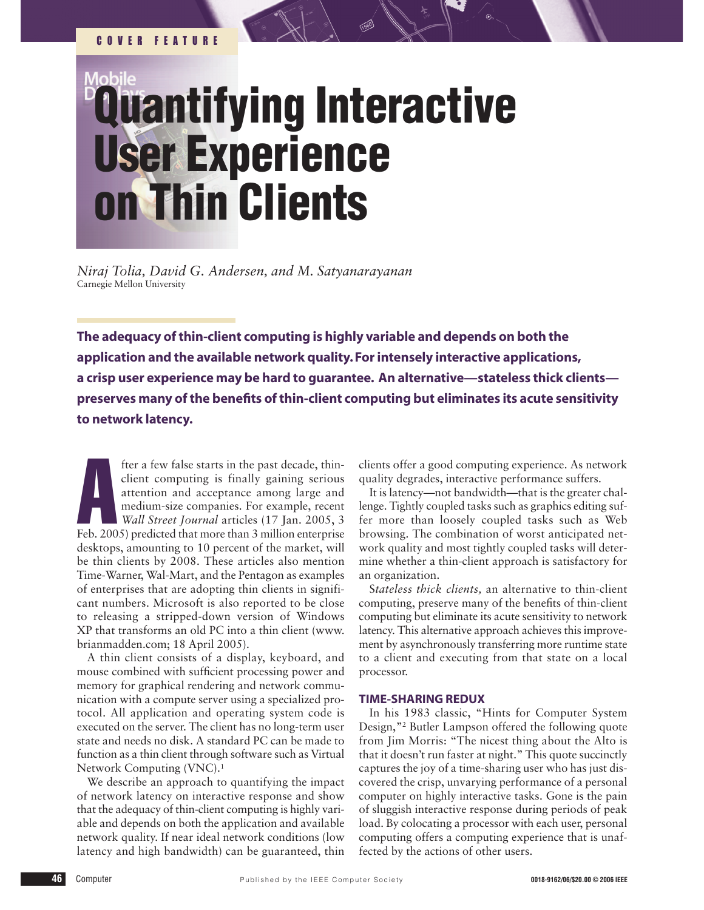#### COVER FEATURE

## Mobile **Quantifying Interactive User Experience on Thin Clients**

*Niraj Tolia, David G. Andersen, and M. Satyanarayanan* Carnegie Mellon University

**The adequacy of thin-client computing is highly variable and depends on both the application and the available network quality. For intensely interactive applications, a crisp user experience may be hard to guarantee. An alternative—stateless thick clients preserves many of the benefits of thin-client computing but eliminates its acute sensitivity to network latency.**

fter a few false starts in the past decade, thin-<br>client computing is finally gaining serious<br>attention and acceptance among large and<br>medium-size companies. For example, recent<br>Wall Street Journal articles (17 Jan. 2005, fter a few false starts in the past decade, thinclient computing is finally gaining serious attention and acceptance among large and medium-size companies. For example, recent *Wall Street Journal* articles (17 Jan. 2005, 3 desktops, amounting to 10 percent of the market, will be thin clients by 2008. These articles also mention Time-Warner, Wal-Mart, and the Pentagon as examples of enterprises that are adopting thin clients in significant numbers. Microsoft is also reported to be close to releasing a stripped-down version of Windows XP that transforms an old PC into a thin client (www. brianmadden.com; 18 April 2005).

A thin client consists of a display, keyboard, and mouse combined with sufficient processing power and memory for graphical rendering and network communication with a compute server using a specialized protocol. All application and operating system code is executed on the server. The client has no long-term user state and needs no disk. A standard PC can be made to function as a thin client through software such as Virtual Network Computing (VNC).1

We describe an approach to quantifying the impact of network latency on interactive response and show that the adequacy of thin-client computing is highly variable and depends on both the application and available network quality. If near ideal network conditions (low latency and high bandwidth) can be guaranteed, thin

clients offer a good computing experience. As network quality degrades, interactive performance suffers.

It is latency—not bandwidth—that is the greater challenge. Tightly coupled tasks such as graphics editing suffer more than loosely coupled tasks such as Web browsing. The combination of worst anticipated network quality and most tightly coupled tasks will determine whether a thin-client approach is satisfactory for an organization.

S*tateless thick clients,* an alternative to thin-client computing, preserve many of the benefits of thin-client computing but eliminate its acute sensitivity to network latency. This alternative approach achieves this improvement by asynchronously transferring more runtime state to a client and executing from that state on a local processor.

#### **TIME-SHARING REDUX**

In his 1983 classic, "Hints for Computer System Design,"2 Butler Lampson offered the following quote from Jim Morris: "The nicest thing about the Alto is that it doesn't run faster at night." This quote succinctly captures the joy of a time-sharing user who has just discovered the crisp, unvarying performance of a personal computer on highly interactive tasks. Gone is the pain of sluggish interactive response during periods of peak load. By colocating a processor with each user, personal computing offers a computing experience that is unaffected by the actions of other users.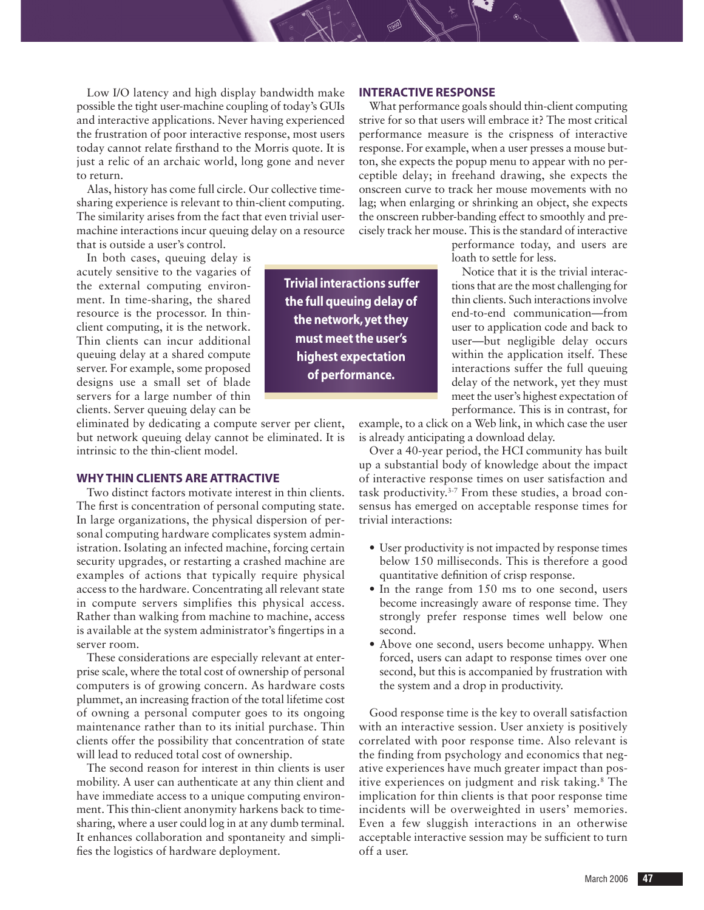Low I/O latency and high display bandwidth make possible the tight user-machine coupling of today's GUIs and interactive applications. Never having experienced the frustration of poor interactive response, most users today cannot relate firsthand to the Morris quote. It is just a relic of an archaic world, long gone and never to return.

Alas, history has come full circle. Our collective timesharing experience is relevant to thin-client computing. The similarity arises from the fact that even trivial usermachine interactions incur queuing delay on a resource that is outside a user's control.

In both cases, queuing delay is acutely sensitive to the vagaries of the external computing environment. In time-sharing, the shared resource is the processor. In thinclient computing, it is the network. Thin clients can incur additional queuing delay at a shared compute server. For example, some proposed designs use a small set of blade servers for a large number of thin clients. Server queuing delay can be

eliminated by dedicating a compute server per client, but network queuing delay cannot be eliminated. It is intrinsic to the thin-client model.

#### **WHY THIN CLIENTS ARE ATTRACTIVE**

Two distinct factors motivate interest in thin clients. The first is concentration of personal computing state. In large organizations, the physical dispersion of personal computing hardware complicates system administration. Isolating an infected machine, forcing certain security upgrades, or restarting a crashed machine are examples of actions that typically require physical access to the hardware. Concentrating all relevant state in compute servers simplifies this physical access. Rather than walking from machine to machine, access is available at the system administrator's fingertips in a server room.

These considerations are especially relevant at enterprise scale, where the total cost of ownership of personal computers is of growing concern. As hardware costs plummet, an increasing fraction of the total lifetime cost of owning a personal computer goes to its ongoing maintenance rather than to its initial purchase. Thin clients offer the possibility that concentration of state will lead to reduced total cost of ownership.

The second reason for interest in thin clients is user mobility. A user can authenticate at any thin client and have immediate access to a unique computing environment. This thin-client anonymity harkens back to timesharing, where a user could log in at any dumb terminal. It enhances collaboration and spontaneity and simplifies the logistics of hardware deployment.

#### **INTERACTIVE RESPONSE**

What performance goals should thin-client computing strive for so that users will embrace it? The most critical performance measure is the crispness of interactive response. For example, when a user presses a mouse button, she expects the popup menu to appear with no perceptible delay; in freehand drawing, she expects the onscreen curve to track her mouse movements with no lag; when enlarging or shrinking an object, she expects the onscreen rubber-banding effect to smoothly and precisely track her mouse. This is the standard of interactive

> performance today, and users are loath to settle for less.

Notice that it is the trivial interactions that are the most challenging for thin clients. Such interactions involve end-to-end communication—from user to application code and back to user—but negligible delay occurs within the application itself. These interactions suffer the full queuing delay of the network, yet they must meet the user's highest expectation of performance. This is in contrast, for

example, to a click on a Web link, in which case the user is already anticipating a download delay.

Over a 40-year period, the HCI community has built up a substantial body of knowledge about the impact of interactive response times on user satisfaction and task productivity.3-7 From these studies, a broad consensus has emerged on acceptable response times for trivial interactions:

- User productivity is not impacted by response times below 150 milliseconds. This is therefore a good quantitative definition of crisp response.
- In the range from 150 ms to one second, users become increasingly aware of response time. They strongly prefer response times well below one second.
- Above one second, users become unhappy. When forced, users can adapt to response times over one second, but this is accompanied by frustration with the system and a drop in productivity.

Good response time is the key to overall satisfaction with an interactive session. User anxiety is positively correlated with poor response time. Also relevant is the finding from psychology and economics that negative experiences have much greater impact than positive experiences on judgment and risk taking.8 The implication for thin clients is that poor response time incidents will be overweighted in users' memories. Even a few sluggish interactions in an otherwise acceptable interactive session may be sufficient to turn off a user.

**Trivial interactions suffer the full queuing delay of the network, yet they must meet the user's highest expectation of performance.**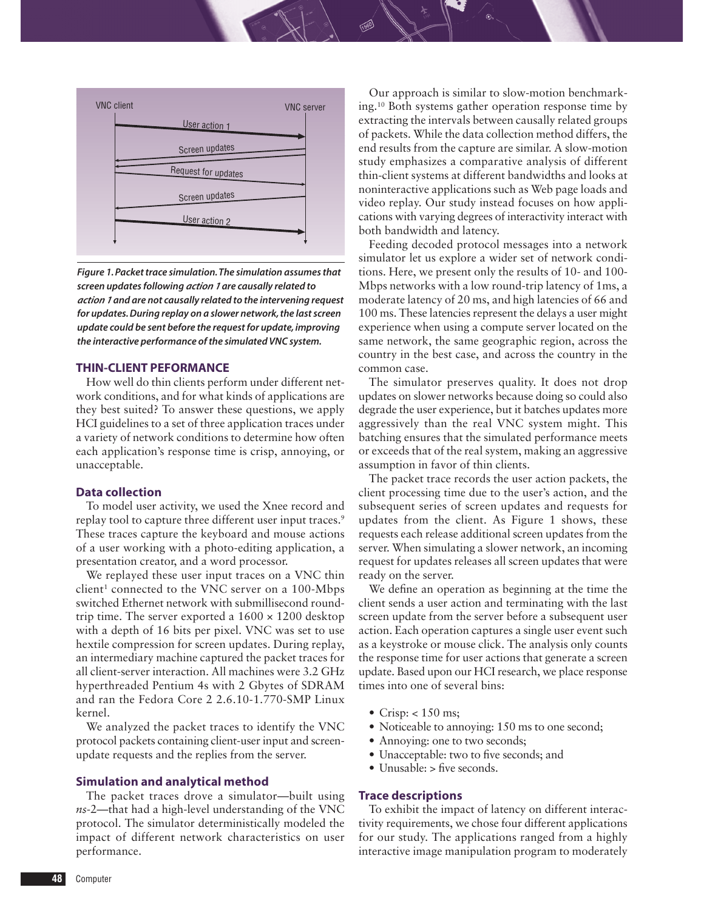

*Figure 1. Packet trace simulation.The simulation assumes that screen updates following action 1 are causally related to action 1 and are not causally related to the intervening request for updates. During replay on a slower network, the last screen update could be sent before the request for update, improving the interactive performance of the simulated VNC system.*

#### **THIN-CLIENT PEFORMANCE**

How well do thin clients perform under different network conditions, and for what kinds of applications are they best suited? To answer these questions, we apply HCI guidelines to a set of three application traces under a variety of network conditions to determine how often each application's response time is crisp, annoying, or unacceptable.

#### **Data collection**

To model user activity, we used the Xnee record and replay tool to capture three different user input traces.<sup>9</sup> These traces capture the keyboard and mouse actions of a user working with a photo-editing application, a presentation creator, and a word processor.

We replayed these user input traces on a VNC thin client<sup>1</sup> connected to the VNC server on a 100-Mbps switched Ethernet network with submillisecond roundtrip time. The server exported a  $1600 \times 1200$  desktop with a depth of 16 bits per pixel. VNC was set to use hextile compression for screen updates. During replay, an intermediary machine captured the packet traces for all client-server interaction. All machines were 3.2 GHz hyperthreaded Pentium 4s with 2 Gbytes of SDRAM and ran the Fedora Core 2 2.6.10-1.770-SMP Linux kernel.

We analyzed the packet traces to identify the VNC protocol packets containing client-user input and screenupdate requests and the replies from the server.

#### **Simulation and analytical method**

The packet traces drove a simulator—built using *ns*-2—that had a high-level understanding of the VNC protocol. The simulator deterministically modeled the impact of different network characteristics on user performance.

Our approach is similar to slow-motion benchmarking.10 Both systems gather operation response time by extracting the intervals between causally related groups of packets. While the data collection method differs, the end results from the capture are similar. A slow-motion study emphasizes a comparative analysis of different thin-client systems at different bandwidths and looks at noninteractive applications such as Web page loads and video replay. Our study instead focuses on how applications with varying degrees of interactivity interact with both bandwidth and latency.

Feeding decoded protocol messages into a network simulator let us explore a wider set of network conditions. Here, we present only the results of 10- and 100- Mbps networks with a low round-trip latency of 1ms, a moderate latency of 20 ms, and high latencies of 66 and 100 ms. These latencies represent the delays a user might experience when using a compute server located on the same network, the same geographic region, across the country in the best case, and across the country in the common case.

The simulator preserves quality. It does not drop updates on slower networks because doing so could also degrade the user experience, but it batches updates more aggressively than the real VNC system might. This batching ensures that the simulated performance meets or exceeds that of the real system, making an aggressive assumption in favor of thin clients.

The packet trace records the user action packets, the client processing time due to the user's action, and the subsequent series of screen updates and requests for updates from the client. As Figure 1 shows, these requests each release additional screen updates from the server. When simulating a slower network, an incoming request for updates releases all screen updates that were ready on the server.

We define an operation as beginning at the time the client sends a user action and terminating with the last screen update from the server before a subsequent user action. Each operation captures a single user event such as a keystroke or mouse click. The analysis only counts the response time for user actions that generate a screen update. Based upon our HCI research, we place response times into one of several bins:

- Crisp:  $< 150$  ms;
- Noticeable to annoying: 150 ms to one second;
- Annoying: one to two seconds;
- Unacceptable: two to five seconds; and
- Unusable: > five seconds.

#### **Trace descriptions**

To exhibit the impact of latency on different interactivity requirements, we chose four different applications for our study. The applications ranged from a highly interactive image manipulation program to moderately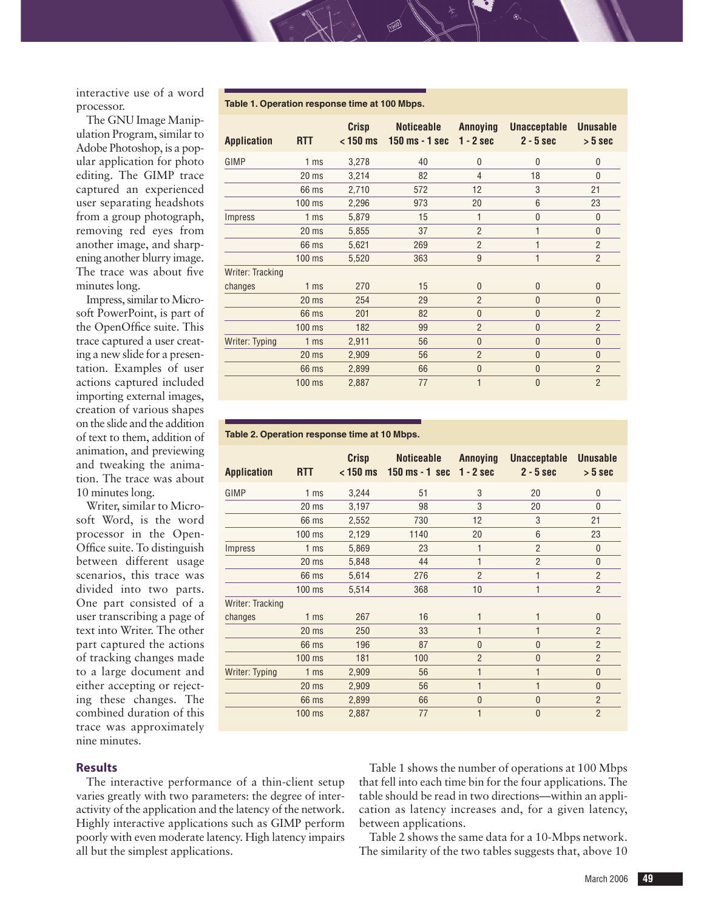interactive use of a word processor.

The GNU Image Manipulation Program, similar to Adobe Photoshop, is a popular application for photo editing. The GIMP trace captured an experienced user separating headshots from a group photograph, removing red eyes from another image, and sharpening another blurry image. The trace was about five minutes long.

Impress, similar to Microsoft PowerPoint, is part of the OpenOffice suite. This trace captured a user creating a new slide for a presentation. Examples of user actions captured included importing external images, creation of various shapes on the slide and the addition of text to them, addition of animation, and previewing and tweaking the animation. The trace was about 10 minutes long.

Writer, similar to Microsoft Word, is the word processor in the Open-Office suite. To distinguish between different usage scenarios, this trace was divided into two parts. One part consisted of a user transcribing a page of text into Writer. The other part captured the actions of tracking changes made to a large document and either accepting or rejecting these changes. The combined duration of this trace was approximately nine minutes.

**Crisp Noticeable Annoying Unacceptable Unusable Application RTT < 150 ms 150 ms - 1 sec 1 - 2 sec 2 - 5 sec > 5 sec**  GIMP 1 ms 3,278 40 0 0 0 20 ms 3,214 82 4 18 0 66 ms 2,710 572 12 3 21 100 ms 2,296 973 20 6 23 Impress 1 ms 5,879 15 1 0 0 20 ms 5,855 37 2 1 0 66 ms 5,621 269 2 1 2 100 ms 5,520 363 9 1 2 Writer: Tracking changes 1 ms 270 15 0 0 0 0 20 ms 254 29 2 0 0 66 ms 201 82 0 0 2 100 ms 182 99 2 0 2 writer: Typing 1 ms 2,911 56 0 0 0 0 20 ms 2,909 56 2 0 0 66 ms 2,899 66 0 0 2 100 ms 2,887 77 1 0 2

**Table 2. Operation response time at 10 Mbps.**

**Table 1. Operation response time at 100 Mbps.**

| <b>Application</b> | <b>RTT</b>       | <b>Crisp</b><br>$<$ 150 ms | <b>Noticeable</b><br>$150$ ms $-1$ sec | <b>Annoying</b><br>$1 - 2$ sec | <b>Unacceptable</b><br>$2 - 5$ sec | <b>Unusable</b><br>$> 5$ sec |
|--------------------|------------------|----------------------------|----------------------------------------|--------------------------------|------------------------------------|------------------------------|
| GIMP               | 1 <sub>ms</sub>  | 3,244                      | 51                                     | 3                              | 20                                 | 0                            |
|                    | 20 <sub>ms</sub> | 3,197                      | 98                                     | 3                              | 20                                 | $\mathbf{0}$                 |
|                    | 66 ms            | 2,552                      | 730                                    | 12                             | 3                                  | 21                           |
|                    | $100$ ms         | 2,129                      | 1140                                   | 20                             | 6                                  | 23                           |
| Impress            | 1 <sub>ms</sub>  | 5,869                      | 23                                     | 1                              | $\overline{2}$                     | $\theta$                     |
|                    | $20$ ms          | 5,848                      | 44                                     | 1                              | $\overline{2}$                     | $\mathbf{0}$                 |
|                    | 66 ms            | 5,614                      | 276                                    | $\overline{2}$                 | 1                                  | $\overline{2}$               |
|                    | 100 ms           | 5,514                      | 368                                    | 10                             | 1                                  | $\overline{2}$               |
| Writer: Tracking   |                  |                            |                                        |                                |                                    |                              |
| changes            | 1 <sub>ms</sub>  | 267                        | 16                                     | 1                              |                                    | $\mathbf{0}$                 |
|                    | 20 <sub>ms</sub> | 250                        | 33                                     | 1                              |                                    | $\overline{2}$               |
|                    | 66 ms            | 196                        | 87                                     | $\theta$                       | $\theta$                           | $\overline{2}$               |
|                    | $100$ ms         | 181                        | 100                                    | $\overline{2}$                 | $\mathbf{0}$                       | $\overline{2}$               |
| Writer: Typing     | 1 <sub>ms</sub>  | 2,909                      | 56                                     | 1                              | 1                                  | $\mathbf{0}$                 |
|                    | 20 <sub>ms</sub> | 2,909                      | 56                                     | 1                              | 1                                  | $\mathbf{0}$                 |
|                    | 66 ms            | 2,899                      | 66                                     | $\theta$                       | $\overline{0}$                     | $\overline{2}$               |
|                    | 100 ms           | 2,887                      | 77                                     | 1                              | $\overline{0}$                     | $\overline{2}$               |

#### **Results**

The interactive performance of a thin-client setup varies greatly with two parameters: the degree of interactivity of the application and the latency of the network. Highly interactive applications such as GIMP perform poorly with even moderate latency. High latency impairs all but the simplest applications.

Table 1 shows the number of operations at 100 Mbps that fell into each time bin for the four applications. The table should be read in two directions—within an application as latency increases and, for a given latency, between applications.

Table 2 shows the same data for a 10-Mbps network. The similarity of the two tables suggests that, above 10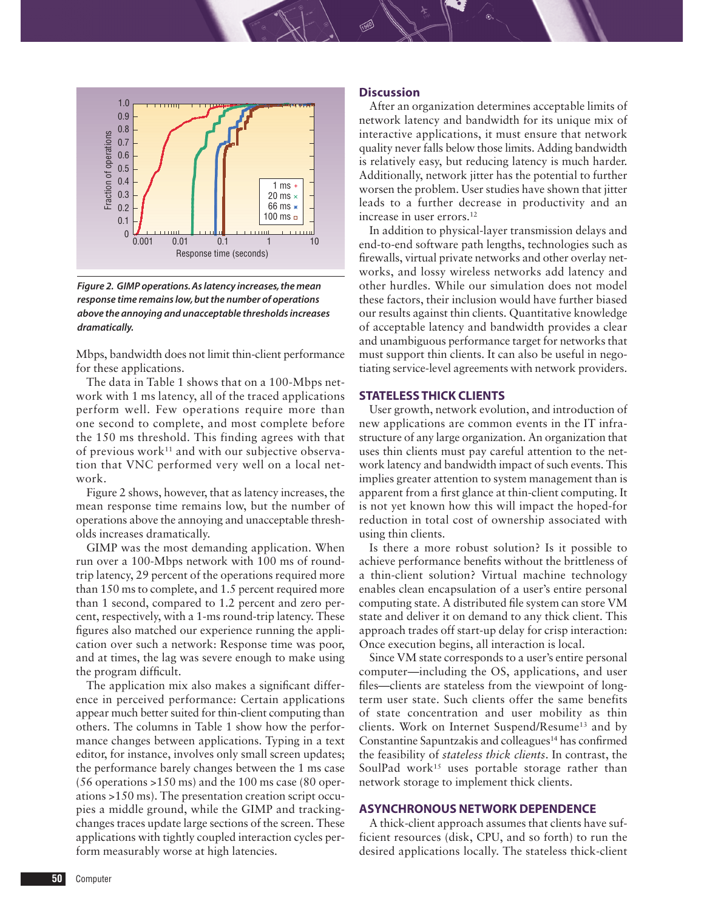

*Figure 2. GIMP operations. As latency increases, the mean response time remains low, but the number of operations above the annoying and unacceptable thresholds increases dramatically.*

Mbps, bandwidth does not limit thin-client performance for these applications.

The data in Table 1 shows that on a 100-Mbps network with 1 ms latency, all of the traced applications perform well. Few operations require more than one second to complete, and most complete before the 150 ms threshold. This finding agrees with that of previous work<sup>11</sup> and with our subjective observation that VNC performed very well on a local network.

Figure 2 shows, however, that as latency increases, the mean response time remains low, but the number of operations above the annoying and unacceptable thresholds increases dramatically.

GIMP was the most demanding application. When run over a 100-Mbps network with 100 ms of roundtrip latency, 29 percent of the operations required more than 150 ms to complete, and 1.5 percent required more than 1 second, compared to 1.2 percent and zero percent, respectively, with a 1-ms round-trip latency. These figures also matched our experience running the application over such a network: Response time was poor, and at times, the lag was severe enough to make using the program difficult.

The application mix also makes a significant difference in perceived performance: Certain applications appear much better suited for thin-client computing than others. The columns in Table 1 show how the performance changes between applications. Typing in a text editor, for instance, involves only small screen updates; the performance barely changes between the 1 ms case (56 operations >150 ms) and the 100 ms case (80 operations >150 ms). The presentation creation script occupies a middle ground, while the GIMP and trackingchanges traces update large sections of the screen. These applications with tightly coupled interaction cycles perform measurably worse at high latencies.

#### **Discussion**

After an organization determines acceptable limits of network latency and bandwidth for its unique mix of interactive applications, it must ensure that network quality never falls below those limits. Adding bandwidth is relatively easy, but reducing latency is much harder. Additionally, network jitter has the potential to further worsen the problem. User studies have shown that jitter leads to a further decrease in productivity and an increase in user errors.12

In addition to physical-layer transmission delays and end-to-end software path lengths, technologies such as firewalls, virtual private networks and other overlay networks, and lossy wireless networks add latency and other hurdles. While our simulation does not model these factors, their inclusion would have further biased our results against thin clients. Quantitative knowledge of acceptable latency and bandwidth provides a clear and unambiguous performance target for networks that must support thin clients. It can also be useful in negotiating service-level agreements with network providers.

#### **STATELESS THICK CLIENTS**

User growth, network evolution, and introduction of new applications are common events in the IT infrastructure of any large organization. An organization that uses thin clients must pay careful attention to the network latency and bandwidth impact of such events. This implies greater attention to system management than is apparent from a first glance at thin-client computing. It is not yet known how this will impact the hoped-for reduction in total cost of ownership associated with using thin clients.

Is there a more robust solution? Is it possible to achieve performance benefits without the brittleness of a thin-client solution? Virtual machine technology enables clean encapsulation of a user's entire personal computing state. A distributed file system can store VM state and deliver it on demand to any thick client. This approach trades off start-up delay for crisp interaction: Once execution begins, all interaction is local.

Since VM state corresponds to a user's entire personal computer—including the OS, applications, and user files—clients are stateless from the viewpoint of longterm user state. Such clients offer the same benefits of state concentration and user mobility as thin clients. Work on Internet Suspend/Resume<sup>13</sup> and by Constantine Sapuntzakis and colleagues<sup>14</sup> has confirmed the feasibility of *stateless thick clients*. In contrast, the SoulPad work<sup>15</sup> uses portable storage rather than network storage to implement thick clients.

#### **ASYNCHRONOUS NETWORK DEPENDENCE**

A thick-client approach assumes that clients have sufficient resources (disk, CPU, and so forth) to run the desired applications locally. The stateless thick-client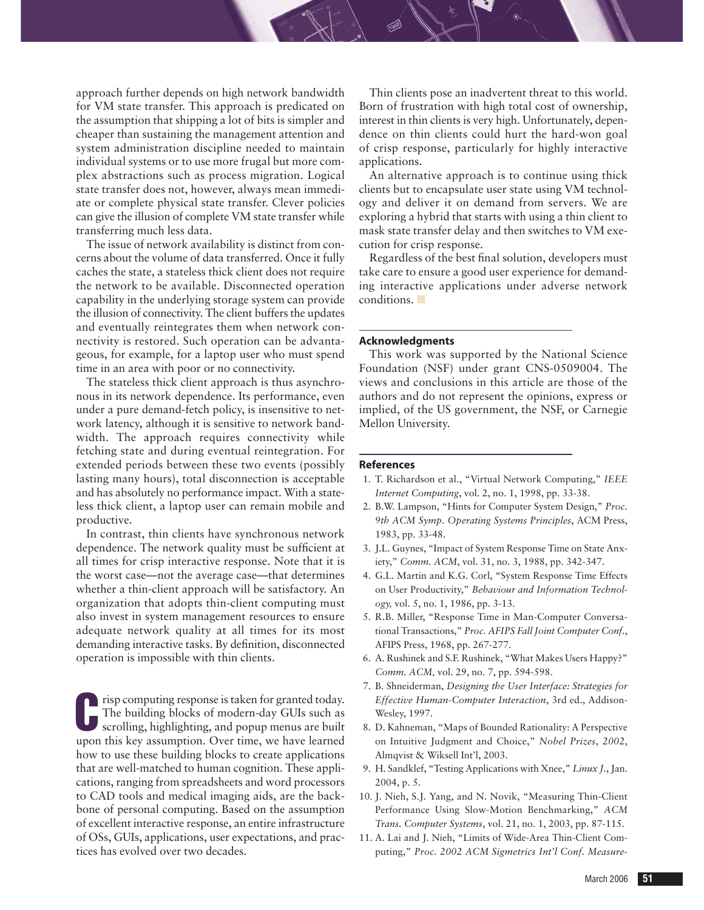approach further depends on high network bandwidth for VM state transfer. This approach is predicated on the assumption that shipping a lot of bits is simpler and cheaper than sustaining the management attention and system administration discipline needed to maintain individual systems or to use more frugal but more complex abstractions such as process migration. Logical state transfer does not, however, always mean immediate or complete physical state transfer. Clever policies can give the illusion of complete VM state transfer while transferring much less data.

The issue of network availability is distinct from concerns about the volume of data transferred. Once it fully caches the state, a stateless thick client does not require the network to be available. Disconnected operation capability in the underlying storage system can provide the illusion of connectivity. The client buffers the updates and eventually reintegrates them when network connectivity is restored. Such operation can be advantageous, for example, for a laptop user who must spend time in an area with poor or no connectivity.

The stateless thick client approach is thus asynchronous in its network dependence. Its performance, even under a pure demand-fetch policy, is insensitive to network latency, although it is sensitive to network bandwidth. The approach requires connectivity while fetching state and during eventual reintegration. For extended periods between these two events (possibly lasting many hours), total disconnection is acceptable and has absolutely no performance impact. With a stateless thick client, a laptop user can remain mobile and productive.

In contrast, thin clients have synchronous network dependence. The network quality must be sufficient at all times for crisp interactive response. Note that it is the worst case—not the average case—that determines whether a thin-client approach will be satisfactory. An organization that adopts thin-client computing must also invest in system management resources to ensure adequate network quality at all times for its most demanding interactive tasks. By definition, disconnected operation is impossible with thin clients.

Tisp computing response is taken for granted today.<br>The building blocks of modern-day GUIs such as scrolling, highlighting, and popup menus are built **n** risp computing response is taken for granted today. The building blocks of modern-day GUIs such as upon this key assumption. Over time, we have learned how to use these building blocks to create applications that are well-matched to human cognition. These applications, ranging from spreadsheets and word processors to CAD tools and medical imaging aids, are the backbone of personal computing. Based on the assumption of excellent interactive response, an entire infrastructure of OSs, GUIs, applications, user expectations, and practices has evolved over two decades.

Thin clients pose an inadvertent threat to this world. Born of frustration with high total cost of ownership, interest in thin clients is very high. Unfortunately, dependence on thin clients could hurt the hard-won goal of crisp response, particularly for highly interactive applications.

An alternative approach is to continue using thick clients but to encapsulate user state using VM technology and deliver it on demand from servers. We are exploring a hybrid that starts with using a thin client to mask state transfer delay and then switches to VM execution for crisp response.

Regardless of the best final solution, developers must take care to ensure a good user experience for demanding interactive applications under adverse network conditions.

#### **Acknowledgments**

This work was supported by the National Science Foundation (NSF) under grant CNS-0509004. The views and conclusions in this article are those of the authors and do not represent the opinions, express or implied, of the US government, the NSF, or Carnegie Mellon University.

#### **References**

- 1. T. Richardson et al., "Virtual Network Computing," *IEEE Internet Computing*, vol. 2, no. 1, 1998, pp. 33-38.
- 2. B.W. Lampson, "Hints for Computer System Design," *Proc. 9th ACM Symp. Operating Systems Principles*, ACM Press, 1983, pp. 33-48.
- 3. J.L. Guynes, "Impact of System Response Time on State Anxiety," *Comm. ACM*, vol. 31, no. 3, 1988, pp. 342-347.
- 4. G.L. Martin and K.G. Corl, "System Response Time Effects on User Productivity," *Behaviour and Information Technology,* vol. 5, no. 1, 1986, pp. 3-13.
- 5. R.B. Miller, "Response Time in Man-Computer Conversational Transactions," *Proc. AFIPS Fall Joint Computer Conf*., AFIPS Press, 1968, pp. 267-277.
- 6. A. Rushinek and S.F. Rushinek, "What Makes Users Happy?" *Comm. ACM,* vol. 29, no. 7, pp. 594-598.
- 7. B. Shneiderman, *Designing the User Interface: Strategies for Effective Human-Computer Interaction*, 3rd ed., Addison-Wesley, 1997.
- 8. D. Kahneman, "Maps of Bounded Rationality: A Perspective on Intuitive Judgment and Choice," *Nobel Prizes*, *2002*, Almqvist & Wiksell Int'l, 2003.
- 9. H. Sandklef, "Testing Applications with Xnee," *Linux J.*, Jan. 2004, p. 5.
- 10. J. Nieh, S.J. Yang, and N. Novik, "Measuring Thin-Client Performance Using Slow-Motion Benchmarking," *ACM Trans. Computer Systems*, vol. 21, no. 1, 2003, pp. 87-115.
- 11. A. Lai and J. Nieh, "Limits of Wide-Area Thin-Client Computing," *Proc. 2002 ACM Sigmetrics Int'l Conf. Measure-*